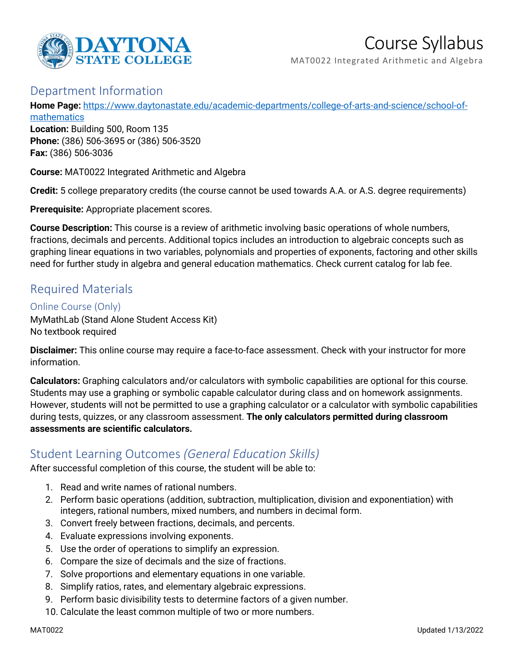

# Course Syllabus

MAT0022 Integrated Arithmetic and Algebra

## Department Information

**Home Page:** [https://www.daytonastate.edu/academic-departments/college-of-arts-and-science/school-of](https://www.daytonastate.edu/academic-departments/college-of-arts-and-science/school-of-mathematics)**[mathematics](https://www.daytonastate.edu/academic-departments/college-of-arts-and-science/school-of-mathematics)** 

**Location:** Building 500, Room 135 **Phone:** (386) 506-3695 or (386) 506-3520 **Fax:** (386) 506-3036

**Course:** MAT0022 Integrated Arithmetic and Algebra

**Credit:** 5 college preparatory credits (the course cannot be used towards A.A. or A.S. degree requirements)

**Prerequisite:** Appropriate placement scores.

**Course Description:** This course is a review of arithmetic involving basic operations of whole numbers, fractions, decimals and percents. Additional topics includes an introduction to algebraic concepts such as graphing linear equations in two variables, polynomials and properties of exponents, factoring and other skills need for further study in algebra and general education mathematics. Check current catalog for lab fee.

## Required Materials

### Online Course (Only)

MyMathLab (Stand Alone Student Access Kit) No textbook required

**Disclaimer:** This online course may require a face-to-face assessment. Check with your instructor for more information.

**Calculators:** Graphing calculators and/or calculators with symbolic capabilities are optional for this course. Students may use a graphing or symbolic capable calculator during class and on homework assignments. However, students will not be permitted to use a graphing calculator or a calculator with symbolic capabilities during tests, quizzes, or any classroom assessment. **The only calculators permitted during classroom assessments are scientific calculators.**

# Student Learning Outcomes *(General Education Skills)*

After successful completion of this course, the student will be able to:

- 1. Read and write names of rational numbers.
- 2. Perform basic operations (addition, subtraction, multiplication, division and exponentiation) with integers, rational numbers, mixed numbers, and numbers in decimal form.
- 3. Convert freely between fractions, decimals, and percents.
- 4. Evaluate expressions involving exponents.
- 5. Use the order of operations to simplify an expression.
- 6. Compare the size of decimals and the size of fractions.
- 7. Solve proportions and elementary equations in one variable.
- 8. Simplify ratios, rates, and elementary algebraic expressions.
- 9. Perform basic divisibility tests to determine factors of a given number.
- 10. Calculate the least common multiple of two or more numbers.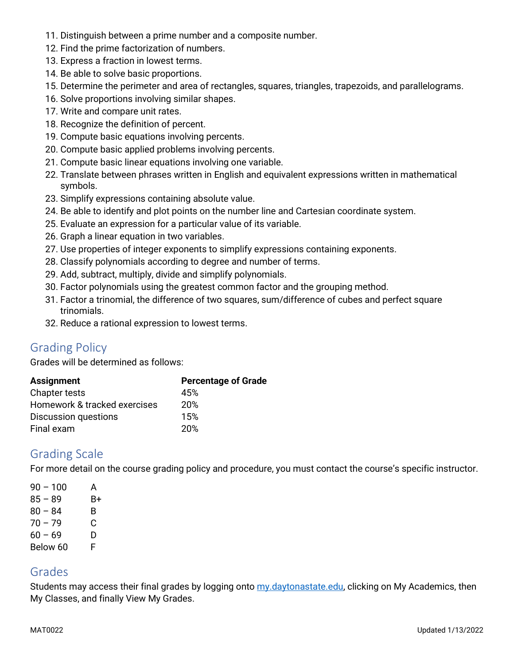- 11. Distinguish between a prime number and a composite number.
- 12. Find the prime factorization of numbers.
- 13. Express a fraction in lowest terms.
- 14. Be able to solve basic proportions.
- 15. Determine the perimeter and area of rectangles, squares, triangles, trapezoids, and parallelograms.
- 16. Solve proportions involving similar shapes.
- 17. Write and compare unit rates.
- 18. Recognize the definition of percent.
- 19. Compute basic equations involving percents.
- 20. Compute basic applied problems involving percents.
- 21. Compute basic linear equations involving one variable.
- 22. Translate between phrases written in English and equivalent expressions written in mathematical symbols.
- 23. Simplify expressions containing absolute value.
- 24. Be able to identify and plot points on the number line and Cartesian coordinate system.
- 25. Evaluate an expression for a particular value of its variable.
- 26. Graph a linear equation in two variables.
- 27. Use properties of integer exponents to simplify expressions containing exponents.
- 28. Classify polynomials according to degree and number of terms.
- 29. Add, subtract, multiply, divide and simplify polynomials.
- 30. Factor polynomials using the greatest common factor and the grouping method.
- 31. Factor a trinomial, the difference of two squares, sum/difference of cubes and perfect square trinomials.
- 32. Reduce a rational expression to lowest terms.

## Grading Policy

Grades will be determined as follows:

| <b>Assignment</b>            | <b>Percentage of Grade</b> |
|------------------------------|----------------------------|
| <b>Chapter tests</b>         | 45%                        |
| Homework & tracked exercises | 20%                        |
| <b>Discussion questions</b>  | 15%                        |
| Final exam                   | 20%                        |

## Grading Scale

For more detail on the course grading policy and procedure, you must contact the course's specific instructor.

| $90 - 100$ | A  |
|------------|----|
| $85 - 89$  | B+ |
| $80 - 84$  | B. |
| $70 - 79$  | C  |
| $60 - 69$  | D  |
| Below 60   | F. |

## Grades

Students may access their final grades by logging onto [my.daytonastate.edu,](https://my.daytonastate.edu/) clicking on My Academics, then My Classes, and finally View My Grades.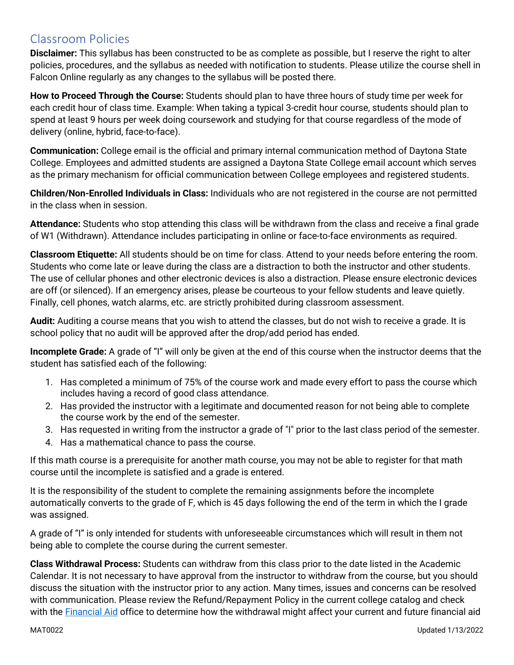# Classroom Policies

**Disclaimer:** This syllabus has been constructed to be as complete as possible, but I reserve the right to alter policies, procedures, and the syllabus as needed with notification to students. Please utilize the course shell in Falcon Online regularly as any changes to the syllabus will be posted there.

**How to Proceed Through the Course:** Students should plan to have three hours of study time per week for each credit hour of class time. Example: When taking a typical 3-credit hour course, students should plan to spend at least 9 hours per week doing coursework and studying for that course regardless of the mode of delivery (online, hybrid, face-to-face).

**Communication:** College email is the official and primary internal communication method of Daytona State College. Employees and admitted students are assigned a Daytona State College email account which serves as the primary mechanism for official communication between College employees and registered students.

**Children/Non-Enrolled Individuals in Class:** Individuals who are not registered in the course are not permitted in the class when in session.

**Attendance:** Students who stop attending this class will be withdrawn from the class and receive a final grade of W1 (Withdrawn). Attendance includes participating in online or face-to-face environments as required.

**Classroom Etiquette:** All students should be on time for class. Attend to your needs before entering the room. Students who come late or leave during the class are a distraction to both the instructor and other students. The use of cellular phones and other electronic devices is also a distraction. Please ensure electronic devices are off (or silenced). If an emergency arises, please be courteous to your fellow students and leave quietly. Finally, cell phones, watch alarms, etc. are strictly prohibited during classroom assessment.

**Audit:** Auditing a course means that you wish to attend the classes, but do not wish to receive a grade. It is school policy that no audit will be approved after the drop/add period has ended.

**Incomplete Grade:** A grade of "I" will only be given at the end of this course when the instructor deems that the student has satisfied each of the following:

- 1. Has completed a minimum of 75% of the course work and made every effort to pass the course which includes having a record of good class attendance.
- 2. Has provided the instructor with a legitimate and documented reason for not being able to complete the course work by the end of the semester.
- 3. Has requested in writing from the instructor a grade of "I" prior to the last class period of the semester.
- 4. Has a mathematical chance to pass the course.

If this math course is a prerequisite for another math course, you may not be able to register for that math course until the incomplete is satisfied and a grade is entered.

It is the responsibility of the student to complete the remaining assignments before the incomplete automatically converts to the grade of F, which is 45 days following the end of the term in which the I grade was assigned.

A grade of "I" is only intended for students with unforeseeable circumstances which will result in them not being able to complete the course during the current semester.

**Class Withdrawal Process:** Students can withdraw from this class prior to the date listed in the Academic Calendar. It is not necessary to have approval from the instructor to withdraw from the course, but you should discuss the situation with the instructor prior to any action. Many times, issues and concerns can be resolved with communication. Please review the Refund/Repayment Policy in the current college catalog and check with the [Financial Aid](https://www.daytonastate.edu/financial-aid) office to determine how the withdrawal might affect your current and future financial aid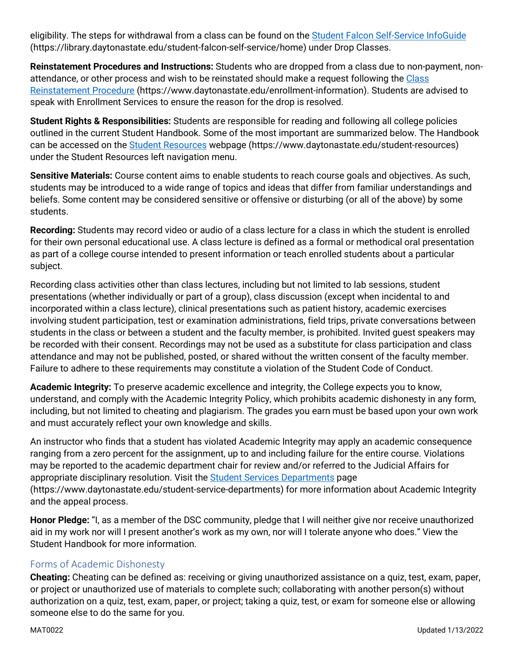eligibility. The steps for withdrawal from a class can be found on the [Student Falcon Self-Service InfoGuide](https://library.daytonastate.edu/student-falcon-self-service/home) (https://library.daytonastate.edu/student-falcon-self-service/home) under Drop Classes.

**Reinstatement Procedures and Instructions:** Students who are dropped from a class due to non-payment, nonattendance, or other process and wish to be reinstated should make a request following the Class [Reinstatement Procedure](https://www.daytonastate.edu/enrollment-information/index.html) (https://www.daytonastate.edu/enrollment-information). Students are advised to speak with Enrollment Services to ensure the reason for the drop is resolved.

**Student Rights & Responsibilities:** Students are responsible for reading and following all college policies outlined in the current Student Handbook. Some of the most important are summarized below. The Handbook can be accessed on the [Student Resources](https://www.daytonastate.edu/student-resources) webpage (https://www.daytonastate.edu/student-resources) under the Student Resources left navigation menu.

**Sensitive Materials:** Course content aims to enable students to reach course goals and objectives. As such, students may be introduced to a wide range of topics and ideas that differ from familiar understandings and beliefs. Some content may be considered sensitive or offensive or disturbing (or all of the above) by some students.

**Recording:** Students may record video or audio of a class lecture for a class in which the student is enrolled for their own personal educational use. A class lecture is defined as a formal or methodical oral presentation as part of a college course intended to present information or teach enrolled students about a particular subject.

Recording class activities other than class lectures, including but not limited to lab sessions, student presentations (whether individually or part of a group), class discussion (except when incidental to and incorporated within a class lecture), clinical presentations such as patient history, academic exercises involving student participation, test or examination administrations, field trips, private conversations between students in the class or between a student and the faculty member, is prohibited. Invited guest speakers may be recorded with their consent. Recordings may not be used as a substitute for class participation and class attendance and may not be published, posted, or shared without the written consent of the faculty member. Failure to adhere to these requirements may constitute a violation of the Student Code of Conduct.

**Academic Integrity:** To preserve academic excellence and integrity, the College expects you to know, understand, and comply with the Academic Integrity Policy, which prohibits academic dishonesty in any form, including, but not limited to cheating and plagiarism. The grades you earn must be based upon your own work and must accurately reflect your own knowledge and skills.

An instructor who finds that a student has violated Academic Integrity may apply an academic consequence ranging from a zero percent for the assignment, up to and including failure for the entire course. Violations may be reported to the academic department chair for review and/or referred to the Judicial Affairs for appropriate disciplinary resolution. Visit the [Student Services Departments](https://www.daytonastate.edu/student-service-departments) page (https://www.daytonastate.edu/student-service-departments) for more information about Academic Integrity and the appeal process.

**Honor Pledge:** "I, as a member of the DSC community, pledge that I will neither give nor receive unauthorized aid in my work nor will I present another's work as my own, nor will I tolerate anyone who does." View the Student Handbook for more information.

## Forms of Academic Dishonesty

**Cheating:** Cheating can be defined as: receiving or giving unauthorized assistance on a quiz, test, exam, paper, or project or unauthorized use of materials to complete such; collaborating with another person(s) without authorization on a quiz, test, exam, paper, or project; taking a quiz, test, or exam for someone else or allowing someone else to do the same for you.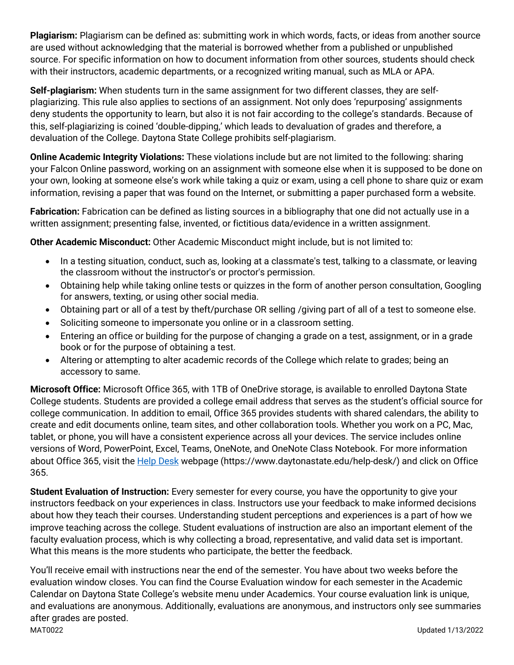**Plagiarism:** Plagiarism can be defined as: submitting work in which words, facts, or ideas from another source are used without acknowledging that the material is borrowed whether from a published or unpublished source. For specific information on how to document information from other sources, students should check with their instructors, academic departments, or a recognized writing manual, such as MLA or APA.

**Self-plagiarism:** When students turn in the same assignment for two different classes, they are selfplagiarizing. This rule also applies to sections of an assignment. Not only does 'repurposing' assignments deny students the opportunity to learn, but also it is not fair according to the college's standards. Because of this, self-plagiarizing is coined 'double-dipping,' which leads to devaluation of grades and therefore, a devaluation of the College. Daytona State College prohibits self-plagiarism.

**Online Academic Integrity Violations:** These violations include but are not limited to the following: sharing your Falcon Online password, working on an assignment with someone else when it is supposed to be done on your own, looking at someone else's work while taking a quiz or exam, using a cell phone to share quiz or exam information, revising a paper that was found on the Internet, or submitting a paper purchased form a website.

**Fabrication:** Fabrication can be defined as listing sources in a bibliography that one did not actually use in a written assignment; presenting false, invented, or fictitious data/evidence in a written assignment.

**Other Academic Misconduct:** Other Academic Misconduct might include, but is not limited to:

- In a testing situation, conduct, such as, looking at a classmate's test, talking to a classmate, or leaving the classroom without the instructor's or proctor's permission.
- Obtaining help while taking online tests or quizzes in the form of another person consultation, Googling for answers, texting, or using other social media.
- Obtaining part or all of a test by theft/purchase OR selling /giving part of all of a test to someone else.
- Soliciting someone to impersonate you online or in a classroom setting.
- Entering an office or building for the purpose of changing a grade on a test, assignment, or in a grade book or for the purpose of obtaining a test.
- Altering or attempting to alter academic records of the College which relate to grades; being an accessory to same.

**Microsoft Office:** Microsoft Office 365, with 1TB of OneDrive storage, is available to enrolled Daytona State College students. Students are provided a college email address that serves as the student's official source for college communication. In addition to email, Office 365 provides students with shared calendars, the ability to create and edit documents online, team sites, and other collaboration tools. Whether you work on a PC, Mac, tablet, or phone, you will have a consistent experience across all your devices. The service includes online versions of Word, PowerPoint, Excel, Teams, OneNote, and OneNote Class Notebook. For more information about Office 365, visit the [Help Desk](https://www.daytonastate.edu/help-desk/) webpage (https://www.daytonastate.edu/help-desk/) and click on Office 365.

**Student Evaluation of Instruction:** Every semester for every course, you have the opportunity to give your instructors feedback on your experiences in class. Instructors use your feedback to make informed decisions about how they teach their courses. Understanding student perceptions and experiences is a part of how we improve teaching across the college. Student evaluations of instruction are also an important element of the faculty evaluation process, which is why collecting a broad, representative, and valid data set is important. What this means is the more students who participate, the better the feedback.

MAT0022 Updated 1/13/2022 You'll receive email with instructions near the end of the semester. You have about two weeks before the evaluation window closes. You can find the Course Evaluation window for each semester in the Academic Calendar on Daytona State College's website menu under Academics. Your course evaluation link is unique, and evaluations are anonymous. Additionally, evaluations are anonymous, and instructors only see summaries after grades are posted.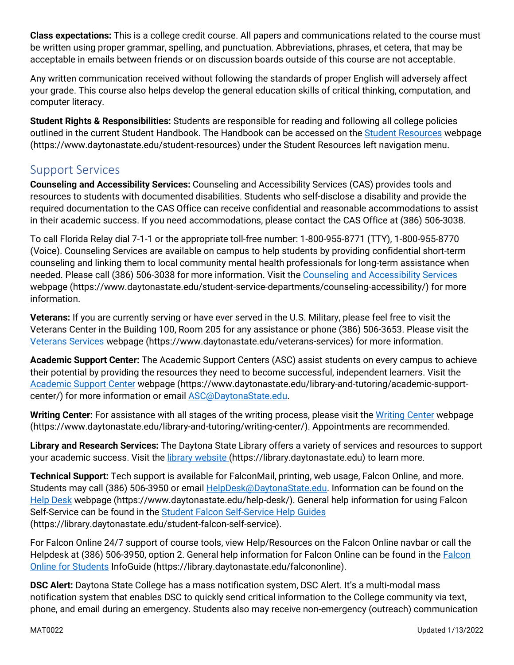**Class expectations:** This is a college credit course. All papers and communications related to the course must be written using proper grammar, spelling, and punctuation. Abbreviations, phrases, et cetera, that may be acceptable in emails between friends or on discussion boards outside of this course are not acceptable.

Any written communication received without following the standards of proper English will adversely affect your grade. This course also helps develop the general education skills of critical thinking, computation, and computer literacy.

**Student Rights & Responsibilities:** Students are responsible for reading and following all college policies outlined in the current Student Handbook. The Handbook can be accessed on the [Student Resources](https://www.daytonastate.edu/student-resources) webpage (https://www.daytonastate.edu/student-resources) under the Student Resources left navigation menu.

## Support Services

**Counseling and Accessibility Services:** Counseling and Accessibility Services (CAS) provides tools and resources to students with documented disabilities. Students who self-disclose a disability and provide the required documentation to the CAS Office can receive confidential and reasonable accommodations to assist in their academic success. If you need accommodations, please contact the CAS Office at (386) 506-3038.

To call Florida Relay dial 7-1-1 or the appropriate toll-free number: 1-800-955-8771 (TTY), 1-800-955-8770 (Voice). Counseling Services are available on campus to help students by providing confidential short-term counseling and linking them to local community mental health professionals for long-term assistance when needed. Please call (386) 506-3038 for more information. Visit the [Counseling and Accessibility Services](https://www.daytonastate.edu/student-service-departments/counseling-accessibility/) webpage (https://www.daytonastate.edu/student-service-departments/counseling-accessibility/) for more information.

**Veterans:** If you are currently serving or have ever served in the U.S. Military, please feel free to visit the Veterans Center in the Building 100, Room 205 for any assistance or phone (386) 506-3653. Please visit the [Veterans Services](https://www.daytonastate.edu/veterans-services) webpage (https://www.daytonastate.edu/veterans-services) for more information.

**Academic Support Center:** The Academic Support Centers (ASC) assist students on every campus to achieve their potential by providing the resources they need to become successful, independent learners. Visit the [Academic Support Center](https://www.daytonastate.edu/library-and-tutoring/academic-support-center/index.html) webpage (https://www.daytonastate.edu/library-and-tutoring/academic-supportcenter/) for more information or email [ASC@DaytonaState.edu.](mailto:ASC@DaytonaState.edu)

Writing Center: For assistance with all stages of the writing process, please visit the [Writing Center](https://www.daytonastate.edu/library-and-tutoring/writing-center/) webpage (https://www.daytonastate.edu/library-and-tutoring/writing-center/). Appointments are recommended.

**Library and Research Services:** The Daytona State Library offers a variety of services and resources to support your academic success. Visit the *library website (https://library.daytonastate.edu)* to learn more.

**Technical Support:** Tech support is available for FalconMail, printing, web usage, Falcon Online, and more. Students may call (386) 506-3950 or email **HelpDesk@DaytonaState.edu**. Information can be found on the [Help Desk](https://www.daytonastate.edu/help-desk/) webpage (https://www.daytonastate.edu/help-desk/). General help information for using Falcon Self-Service can be found in the [Student Falcon Self-Service Help Guides](https://library.daytonastate.edu/student-falcon-self-service) (https://library.daytonastate.edu/student-falcon-self-service).

For Falcon Online 24/7 support of course tools, view Help/Resources on the Falcon Online navbar or call the Helpdesk at (386) 506-3950, option 2. General help information for Falcon Online can be found in the [Falcon](https://library.daytonastate.edu/falcononline)  [Online for Students](https://library.daytonastate.edu/falcononline) InfoGuide (https://library.daytonastate.edu/falcononline).

**DSC Alert:** Daytona State College has a mass notification system, DSC Alert. It's a multi-modal mass notification system that enables DSC to quickly send critical information to the College community via text, phone, and email during an emergency. Students also may receive non-emergency (outreach) communication